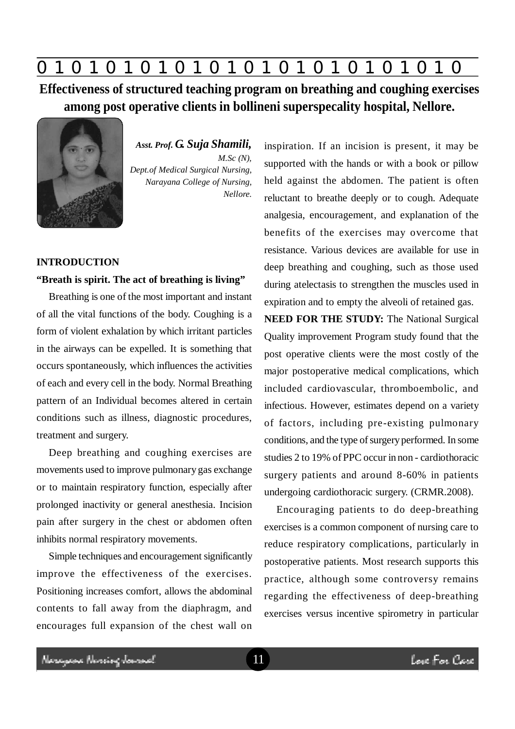# **0 z 0 z 0 z 0 z 0 z 0 z 0 z 0 z 0 z 0 z 0 z 0 z 0**

**Effectiveness of structured teaching program on breathing and coughing exercises among post operative clients in bollineni superspecality hospital, Nellore.**



*Asst. Prof. G. Suja Shamili, M.Sc (N), Dept.of Medical Surgical Nursing, Narayana College of Nursing, Nellore.*

#### **INTRODUCTION**

### **"Breath is spirit. The act of breathing is living"**

Breathing is one of the most important and instant of all the vital functions of the body. Coughing is a form of violent exhalation by which irritant particles in the airways can be expelled. It is something that occurs spontaneously, which influences the activities of each and every cell in the body. Normal Breathing pattern of an Individual becomes altered in certain conditions such as illness, diagnostic procedures, treatment and surgery.

Deep breathing and coughing exercises are movements used to improve pulmonary gas exchange or to maintain respiratory function, especially after prolonged inactivity or general anesthesia. Incision pain after surgery in the chest or abdomen often inhibits normal respiratory movements.

Simple techniques and encouragement significantly improve the effectiveness of the exercises. Positioning increases comfort, allows the abdominal contents to fall away from the diaphragm, and encourages full expansion of the chest wall on inspiration. If an incision is present, it may be supported with the hands or with a book or pillow held against the abdomen. The patient is often reluctant to breathe deeply or to cough. Adequate analgesia, encouragement, and explanation of the benefits of the exercises may overcome that resistance. Various devices are available for use in deep breathing and coughing, such as those used during atelectasis to strengthen the muscles used in expiration and to empty the alveoli of retained gas.

**NEED FOR THE STUDY:** The National Surgical Quality improvement Program study found that the post operative clients were the most costly of the major postoperative medical complications, which included cardiovascular, thromboembolic, and infectious. However, estimates depend on a variety of factors, including pre-existing pulmonary conditions, and the type of surgery performed. In some studies 2 to 19% of PPC occur in non - cardiothoracic surgery patients and around 8-60% in patients undergoing cardiothoracic surgery. (CRMR.2008).

Encouraging patients to do deep-breathing exercises is a common component of nursing care to reduce respiratory complications, particularly in postoperative patients. Most research supports this practice, although some controversy remains regarding the effectiveness of deep-breathing exercises versus incentive spirometry in particular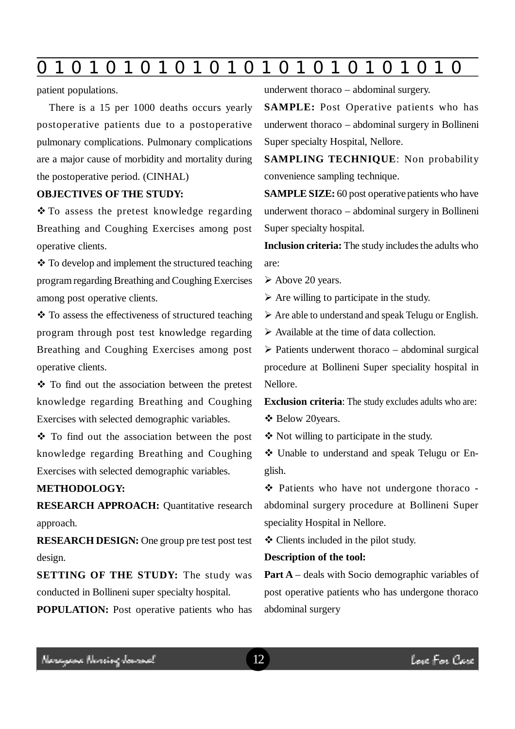# **0 z 0 z 0 z 0 z 0 z 0 z 0 z 0 z 0 z 0 z 0 z 0 z 0**

patient populations.

There is a 15 per 1000 deaths occurs yearly postoperative patients due to a postoperative pulmonary complications. Pulmonary complications are a major cause of morbidity and mortality during the postoperative period. (CINHAL)

### **OBJECTIVES OF THE STUDY:**

 To assess the pretest knowledge regarding Breathing and Coughing Exercises among post operative clients.

❖ To develop and implement the structured teaching program regarding Breathing and Coughing Exercises among post operative clients.

 $\cdot$  To assess the effectiveness of structured teaching program through post test knowledge regarding Breathing and Coughing Exercises among post operative clients.

 To find out the association between the pretest knowledge regarding Breathing and Coughing Exercises with selected demographic variables.

 To find out the association between the post knowledge regarding Breathing and Coughing Exercises with selected demographic variables.

#### **METHODOLOGY:**

**RESEARCH APPROACH:** Quantitative research approach.

**RESEARCH DESIGN:** One group pre test post test design.

**SETTING OF THE STUDY:** The study was conducted in Bollineni super specialty hospital.

**POPULATION:** Post operative patients who has

underwent thoraco – abdominal surgery.

**SAMPLE:** Post Operative patients who has underwent thoraco – abdominal surgery in Bollineni Super specialty Hospital, Nellore.

**SAMPLING TECHNIQUE**: Non probability convenience sampling technique.

**SAMPLE SIZE:** 60 post operative patients who have underwent thoraco – abdominal surgery in Bollineni Super specialty hospital.

**Inclusion criteria:** The study includes the adults who are:

Above 20 years.

 $\triangleright$  Are willing to participate in the study.

 $\triangleright$  Are able to understand and speak Telugu or English.

Available at the time of data collection.

 $\triangleright$  Patients underwent thoraco – abdominal surgical procedure at Bollineni Super speciality hospital in Nellore.

**Exclusion criteria**: The study excludes adults who are:

Below 20years.

Not willing to participate in the study.

 Unable to understand and speak Telugu or English.

 Patients who have not undergone thoraco abdominal surgery procedure at Bollineni Super speciality Hospital in Nellore.

Clients included in the pilot study.

#### **Description of the tool:**

**Part A** – deals with Socio demographic variables of post operative patients who has undergone thoraco abdominal surgery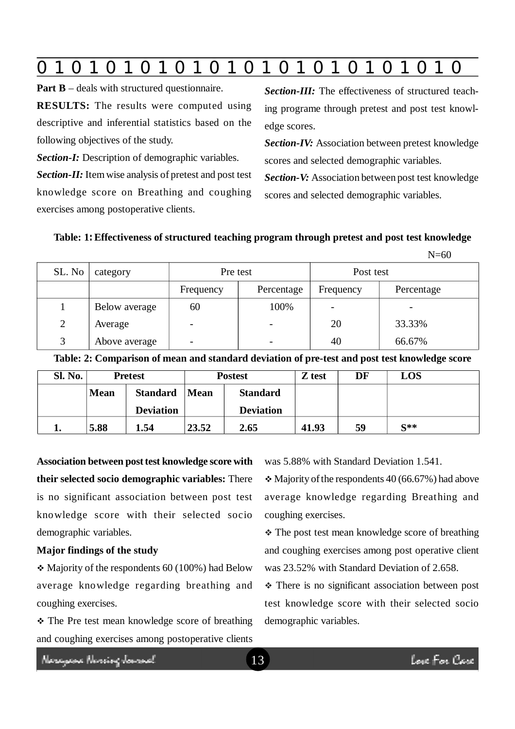|  | $\mathbf 0$ | $\blacksquare$ | $\bullet$ |  |  |  |  |  |  |  |  |  | 0 |
|--|-------------|----------------|-----------|--|--|--|--|--|--|--|--|--|---|
|--|-------------|----------------|-----------|--|--|--|--|--|--|--|--|--|---|

**Part B** – deals with structured questionnaire.

**RESULTS:** The results were computed using descriptive and inferential statistics based on the following objectives of the study.

*Section-I:* Description of demographic variables. *Section-II:* Item wise analysis of pretest and post test

knowledge score on Breathing and coughing exercises among postoperative clients.

*Section-III:* The effectiveness of structured teaching programe through pretest and post test knowledge scores.

*Section-IV:* Association between pretest knowledge scores and selected demographic variables.

*Section-V:* Association between post test knowledge scores and selected demographic variables.

 $N=60$ 

# **Table: 1: Effectiveness of structured teaching program through pretest and post test knowledge**

|        |               |                          |            |           | .          |
|--------|---------------|--------------------------|------------|-----------|------------|
| SL. No | category      | Pre test                 |            | Post test |            |
|        |               | Frequency                | Percentage | Frequency | Percentage |
|        | Below average | 60                       | 100%       |           |            |
| 2      | Average       |                          |            | 20        | 33.33%     |
| 3      | Above average | $\overline{\phantom{0}}$ |            | 40        | 66.67%     |

**Table: 2: Comparison of mean and standard deviation of pre-test and post test knowledge score**

| Sl. No. |             | <b>Pretest</b>   |       | <b>Postest</b>   | Z test | DF | LOS      |
|---------|-------------|------------------|-------|------------------|--------|----|----------|
|         | <b>Mean</b> | <b>Standard</b>  | Mean  | <b>Standard</b>  |        |    |          |
|         |             | <b>Deviation</b> |       | <b>Deviation</b> |        |    |          |
|         | 5.88        | 1.54             | 23.52 | 2.65             | 41.93  | 59 | $S^{**}$ |

**Association between post test knowledge score with their selected socio demographic variables:** There is no significant association between post test knowledge score with their selected socio demographic variables.

# **Major findings of the study**

 $\div$  Majority of the respondents 60 (100%) had Below average knowledge regarding breathing and coughing exercises.

 The Pre test mean knowledge score of breathing and coughing exercises among postoperative clients was 5.88% with Standard Deviation 1.541.

 $\div$  Majority of the respondents 40 (66.67%) had above average knowledge regarding Breathing and coughing exercises.

• The post test mean knowledge score of breathing and coughing exercises among post operative client was 23.52% with Standard Deviation of 2.658.

• There is no significant association between post test knowledge score with their selected socio demographic variables.

Neregeae Nereig Jamaal